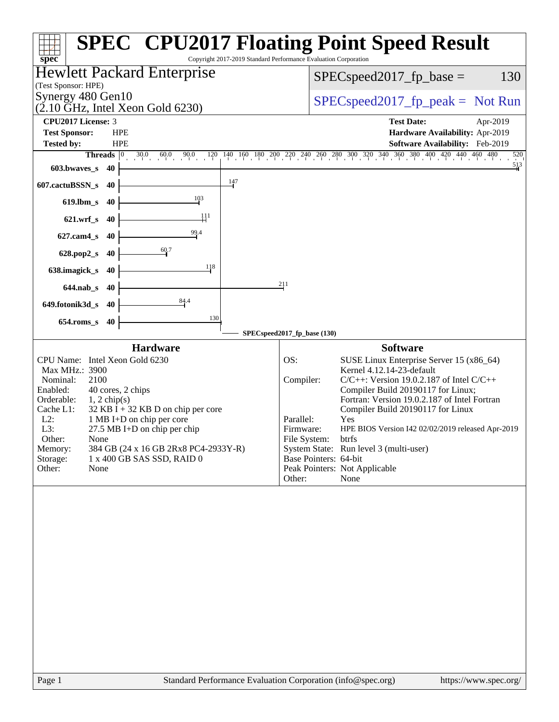|                                                                                   | <b>SPEC<sup>®</sup> CPU2017 Floating Point Speed Result</b>                                                                                                                           |
|-----------------------------------------------------------------------------------|---------------------------------------------------------------------------------------------------------------------------------------------------------------------------------------|
| spec <sup>®</sup><br>Hewlett Packard Enterprise                                   | Copyright 2017-2019 Standard Performance Evaluation Corporation<br>130<br>$SPEC speed2017_fp\_base =$                                                                                 |
| (Test Sponsor: HPE)                                                               |                                                                                                                                                                                       |
| Synergy 480 Gen10<br>$(2.10 \text{ GHz}, \text{Intel Xeon Gold } 6230)$           | $SPEC speed2017rfp peak = Not Run$                                                                                                                                                    |
| <b>CPU2017 License: 3</b>                                                         | <b>Test Date:</b><br>Apr-2019                                                                                                                                                         |
| <b>Test Sponsor:</b><br><b>HPE</b>                                                | Hardware Availability: Apr-2019                                                                                                                                                       |
| <b>Tested by:</b><br><b>HPE</b><br><b>Threads</b> $\boxed{0}$                     | Software Availability: Feb-2019                                                                                                                                                       |
| 603.bwaves_s<br>40                                                                | $30.0 \t 60.0 \t 90.0 \t 120 \t 140 \t 160 \t 180 \t 200 \t 270 \t 240 \t 260 \t 280 \t 300 \t 320 \t 340 \t 360 \t 380 \t 400 \t 420 \t 440 \t 460 \t 480$<br>520<br>$\frac{513}{4}$ |
| $\frac{147}{ }$<br>607.cactuBSSN_s<br>40                                          |                                                                                                                                                                                       |
| 103                                                                               |                                                                                                                                                                                       |
| $619$ .lbm_s<br>40<br>111                                                         |                                                                                                                                                                                       |
| $621.wrf$ <sub>S</sub><br>40                                                      |                                                                                                                                                                                       |
| 99.4<br>627.cam4_s<br>40                                                          |                                                                                                                                                                                       |
| 60.7<br>628.pop2_s<br>40                                                          |                                                                                                                                                                                       |
| 118<br>638.imagick_s<br>40                                                        |                                                                                                                                                                                       |
| $644$ .nab_s<br>-40                                                               | 211                                                                                                                                                                                   |
| 84.4<br>649.fotonik3d_s<br>-40                                                    |                                                                                                                                                                                       |
| 130<br>$654$ .roms_s<br>40                                                        |                                                                                                                                                                                       |
|                                                                                   | SPECspeed2017_fp_base (130)                                                                                                                                                           |
| <b>Hardware</b>                                                                   | <b>Software</b>                                                                                                                                                                       |
| CPU Name: Intel Xeon Gold 6230                                                    | OS:<br>SUSE Linux Enterprise Server 15 (x86_64)                                                                                                                                       |
| Max MHz.: 3900<br>2100<br>Nominal:                                                | Kernel 4.12.14-23-default<br>Compiler:<br>$C/C++$ : Version 19.0.2.187 of Intel $C/C++$                                                                                               |
| 40 cores, 2 chips<br>Enabled:                                                     | Compiler Build 20190117 for Linux;                                                                                                                                                    |
| Orderable:<br>$1, 2$ chip(s)<br>$32$ KB I + 32 KB D on chip per core<br>Cache L1: | Fortran: Version 19.0.2.187 of Intel Fortran<br>Compiler Build 20190117 for Linux                                                                                                     |
| $L2$ :<br>1 MB I+D on chip per core<br>L3:<br>27.5 MB I+D on chip per chip        | Parallel:<br>Yes<br>Firmware:                                                                                                                                                         |
| Other:<br>None                                                                    | HPE BIOS Version I42 02/02/2019 released Apr-2019<br>File System:<br>btrfs                                                                                                            |
| Memory:<br>384 GB (24 x 16 GB 2Rx8 PC4-2933Y-R)<br>1 x 400 GB SAS SSD, RAID 0     | System State: Run level 3 (multi-user)<br>Base Pointers: 64-bit                                                                                                                       |
| Storage:<br>Other:<br>None                                                        | Peak Pointers: Not Applicable                                                                                                                                                         |
|                                                                                   | None<br>Other:                                                                                                                                                                        |
|                                                                                   |                                                                                                                                                                                       |
| Page 1                                                                            | Standard Performance Evaluation Corporation (info@spec.org)<br>https://www.spec.org/                                                                                                  |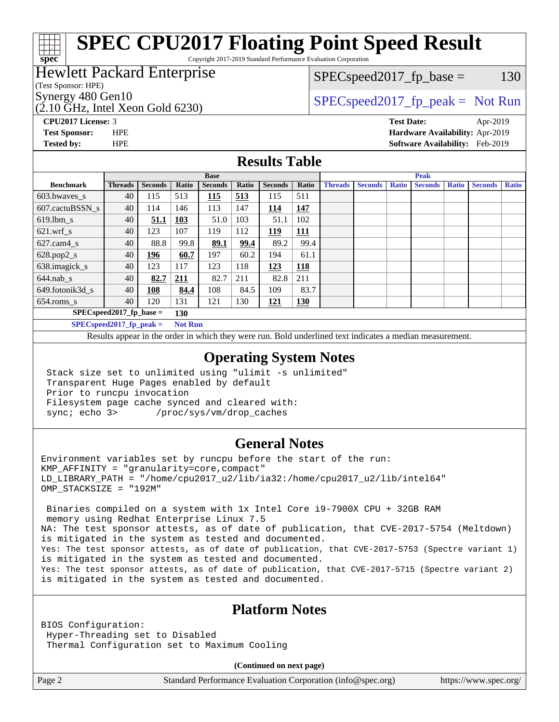# **[SPEC CPU2017 Floating Point Speed Result](http://www.spec.org/auto/cpu2017/Docs/result-fields.html#SPECCPU2017FloatingPointSpeedResult)**

Copyright 2017-2019 Standard Performance Evaluation Corporation

### Hewlett Packard Enterprise

(Test Sponsor: HPE)

**[spec](http://www.spec.org/)**

(2.10 GHz, Intel Xeon Gold 6230)

 $SPEC speed2017_fp\_base = 130$ 

## Synergy 480 Gen10  $SPEC speed2017$  fp\_peak = Not Run

**[CPU2017 License:](http://www.spec.org/auto/cpu2017/Docs/result-fields.html#CPU2017License)** 3 **[Test Date:](http://www.spec.org/auto/cpu2017/Docs/result-fields.html#TestDate)** Apr-2019 **[Test Sponsor:](http://www.spec.org/auto/cpu2017/Docs/result-fields.html#TestSponsor)** HPE **[Hardware Availability:](http://www.spec.org/auto/cpu2017/Docs/result-fields.html#HardwareAvailability)** Apr-2019 **[Tested by:](http://www.spec.org/auto/cpu2017/Docs/result-fields.html#Testedby)** HPE **[Software Availability:](http://www.spec.org/auto/cpu2017/Docs/result-fields.html#SoftwareAvailability)** Feb-2019

### **[Results Table](http://www.spec.org/auto/cpu2017/Docs/result-fields.html#ResultsTable)**

|                          | <b>Base</b>                |                |                |                |       | <b>Peak</b>    |            |                |                |              |                |              |                |              |
|--------------------------|----------------------------|----------------|----------------|----------------|-------|----------------|------------|----------------|----------------|--------------|----------------|--------------|----------------|--------------|
| <b>Benchmark</b>         | <b>Threads</b>             | <b>Seconds</b> | Ratio          | <b>Seconds</b> | Ratio | <b>Seconds</b> | Ratio      | <b>Threads</b> | <b>Seconds</b> | <b>Ratio</b> | <b>Seconds</b> | <b>Ratio</b> | <b>Seconds</b> | <b>Ratio</b> |
| 603.bwayes s             | 40                         | 115            | 513            | 115            | 513   | 115            | 511        |                |                |              |                |              |                |              |
| 607.cactuBSSN s          | 40                         | 114            | 146            | 113            | 147   | 114            | 147        |                |                |              |                |              |                |              |
| $619.$ lbm s             | 40                         | 51.1           | 103            | 51.0           | 103   | 51.1           | 102        |                |                |              |                |              |                |              |
| $621.wrf$ s              | 40                         | 123            | 107            | 119            | 112   | 119            | <u>111</u> |                |                |              |                |              |                |              |
| $627$ .cam $4 \text{ s}$ | 40                         | 88.8           | 99.8           | 89.1           | 99.4  | 89.2           | 99.4       |                |                |              |                |              |                |              |
| $628.pop2_s$             | 40                         | <u>196</u>     | 60.7           | 197            | 60.2  | 194            | 61.1       |                |                |              |                |              |                |              |
| 638.imagick_s            | 40                         | 123            | 117            | 123            | 118   | 123            | 118        |                |                |              |                |              |                |              |
| $644$ .nab s             | 40                         | 82.7           | 211            | 82.7           | 211   | 82.8           | 211        |                |                |              |                |              |                |              |
| 649.fotonik3d s          | 40                         | 108            | 84.4           | 108            | 84.5  | 109            | 83.7       |                |                |              |                |              |                |              |
| $654$ .roms s            | 40                         | 120            | 131            | 121            | 130   | 121            | <b>130</b> |                |                |              |                |              |                |              |
|                          | $SPEC speed2017$ fp base = |                | 130            |                |       |                |            |                |                |              |                |              |                |              |
|                          | $SPECspeed2017_fp\_peak =$ |                | <b>Not Run</b> |                |       |                |            |                |                |              |                |              |                |              |

Results appear in the [order in which they were run.](http://www.spec.org/auto/cpu2017/Docs/result-fields.html#RunOrder) Bold underlined text [indicates a median measurement](http://www.spec.org/auto/cpu2017/Docs/result-fields.html#Median).

### **[Operating System Notes](http://www.spec.org/auto/cpu2017/Docs/result-fields.html#OperatingSystemNotes)**

 Stack size set to unlimited using "ulimit -s unlimited" Transparent Huge Pages enabled by default Prior to runcpu invocation Filesystem page cache synced and cleared with: sync; echo 3> /proc/sys/vm/drop\_caches

### **[General Notes](http://www.spec.org/auto/cpu2017/Docs/result-fields.html#GeneralNotes)**

Environment variables set by runcpu before the start of the run: KMP\_AFFINITY = "granularity=core,compact" LD\_LIBRARY\_PATH = "/home/cpu2017\_u2/lib/ia32:/home/cpu2017\_u2/lib/intel64" OMP\_STACKSIZE = "192M"

 Binaries compiled on a system with 1x Intel Core i9-7900X CPU + 32GB RAM memory using Redhat Enterprise Linux 7.5 NA: The test sponsor attests, as of date of publication, that CVE-2017-5754 (Meltdown) is mitigated in the system as tested and documented. Yes: The test sponsor attests, as of date of publication, that CVE-2017-5753 (Spectre variant 1) is mitigated in the system as tested and documented. Yes: The test sponsor attests, as of date of publication, that CVE-2017-5715 (Spectre variant 2) is mitigated in the system as tested and documented.

### **[Platform Notes](http://www.spec.org/auto/cpu2017/Docs/result-fields.html#PlatformNotes)**

BIOS Configuration: Hyper-Threading set to Disabled Thermal Configuration set to Maximum Cooling

**(Continued on next page)**

Page 2 Standard Performance Evaluation Corporation [\(info@spec.org\)](mailto:info@spec.org) <https://www.spec.org/>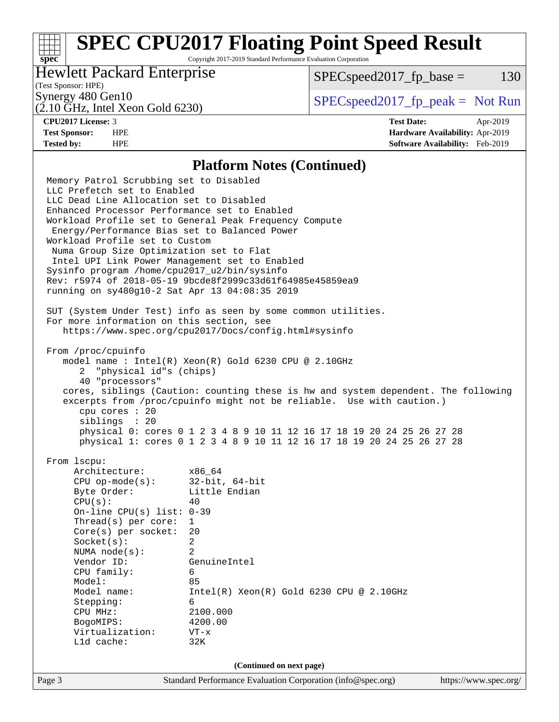# **[SPEC CPU2017 Floating Point Speed Result](http://www.spec.org/auto/cpu2017/Docs/result-fields.html#SPECCPU2017FloatingPointSpeedResult)**

Copyright 2017-2019 Standard Performance Evaluation Corporation

### Hewlett Packard Enterprise

 $SPEC speed2017_fp\_base = 130$ 

# (Test Sponsor: HPE)

(2.10 GHz, Intel Xeon Gold 6230)

Synergy 480 Gen10  $SPEC speed2017$  fp\_peak = Not Run

**[spec](http://www.spec.org/)**

**[CPU2017 License:](http://www.spec.org/auto/cpu2017/Docs/result-fields.html#CPU2017License)** 3 **[Test Date:](http://www.spec.org/auto/cpu2017/Docs/result-fields.html#TestDate)** Apr-2019 **[Test Sponsor:](http://www.spec.org/auto/cpu2017/Docs/result-fields.html#TestSponsor)** HPE **[Hardware Availability:](http://www.spec.org/auto/cpu2017/Docs/result-fields.html#HardwareAvailability)** Apr-2019 **[Tested by:](http://www.spec.org/auto/cpu2017/Docs/result-fields.html#Testedby)** HPE **[Software Availability:](http://www.spec.org/auto/cpu2017/Docs/result-fields.html#SoftwareAvailability)** Feb-2019

### **[Platform Notes \(Continued\)](http://www.spec.org/auto/cpu2017/Docs/result-fields.html#PlatformNotes)**

Page 3 Standard Performance Evaluation Corporation [\(info@spec.org\)](mailto:info@spec.org) <https://www.spec.org/> Memory Patrol Scrubbing set to Disabled LLC Prefetch set to Enabled LLC Dead Line Allocation set to Disabled Enhanced Processor Performance set to Enabled Workload Profile set to General Peak Frequency Compute Energy/Performance Bias set to Balanced Power Workload Profile set to Custom Numa Group Size Optimization set to Flat Intel UPI Link Power Management set to Enabled Sysinfo program /home/cpu2017\_u2/bin/sysinfo Rev: r5974 of 2018-05-19 9bcde8f2999c33d61f64985e45859ea9 running on sy480g10-2 Sat Apr 13 04:08:35 2019 SUT (System Under Test) info as seen by some common utilities. For more information on this section, see <https://www.spec.org/cpu2017/Docs/config.html#sysinfo> From /proc/cpuinfo model name : Intel(R) Xeon(R) Gold 6230 CPU @ 2.10GHz 2 "physical id"s (chips) 40 "processors" cores, siblings (Caution: counting these is hw and system dependent. The following excerpts from /proc/cpuinfo might not be reliable. Use with caution.) cpu cores : 20 siblings : 20 physical 0: cores 0 1 2 3 4 8 9 10 11 12 16 17 18 19 20 24 25 26 27 28 physical 1: cores 0 1 2 3 4 8 9 10 11 12 16 17 18 19 20 24 25 26 27 28 From lscpu: Architecture: x86\_64 CPU op-mode(s): 32-bit, 64-bit Byte Order: Little Endian  $CPU(s):$  40 On-line CPU(s) list: 0-39 Thread(s) per core: 1 Core(s) per socket: 20 Socket(s): 2 NUMA node(s): 2 Vendor ID: GenuineIntel CPU family: 6 Model: 85 Model name: Intel(R) Xeon(R) Gold 6230 CPU @ 2.10GHz Stepping: 6 CPU MHz: 2100.000 BogoMIPS: 4200.00 Virtualization: VT-x L1d cache: 32K **(Continued on next page)**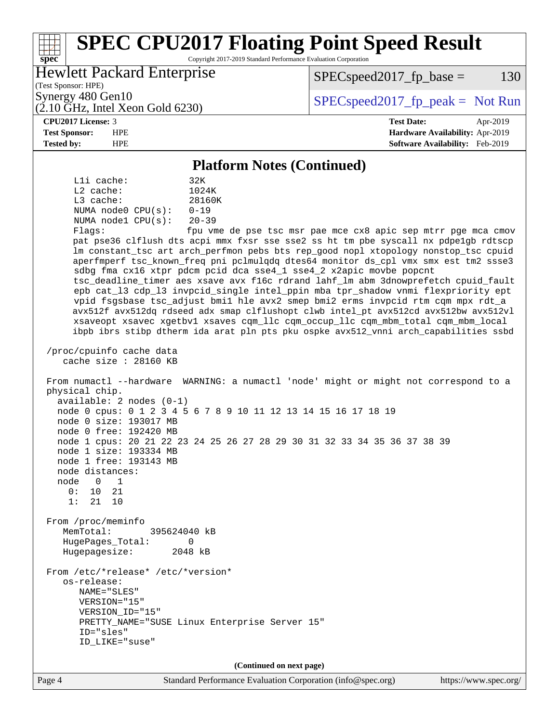### Page 4 Standard Performance Evaluation Corporation [\(info@spec.org\)](mailto:info@spec.org) <https://www.spec.org/> **[spec](http://www.spec.org/) [SPEC CPU2017 Floating Point Speed Result](http://www.spec.org/auto/cpu2017/Docs/result-fields.html#SPECCPU2017FloatingPointSpeedResult)** Copyright 2017-2019 Standard Performance Evaluation Corporation (Test Sponsor: HPE) Hewlett Packard Enterprise (2.10 GHz, Intel Xeon Gold 6230) Synergy 480 Gen10  $S^{per}$  [SPECspeed2017\\_fp\\_peak =](http://www.spec.org/auto/cpu2017/Docs/result-fields.html#SPECspeed2017fppeak) Not Run  $SPEC speed2017_fp\_base = 130$ **[CPU2017 License:](http://www.spec.org/auto/cpu2017/Docs/result-fields.html#CPU2017License)** 3 **[Test Date:](http://www.spec.org/auto/cpu2017/Docs/result-fields.html#TestDate)** Apr-2019 **[Test Sponsor:](http://www.spec.org/auto/cpu2017/Docs/result-fields.html#TestSponsor)** HPE **[Hardware Availability:](http://www.spec.org/auto/cpu2017/Docs/result-fields.html#HardwareAvailability)** Apr-2019 **[Tested by:](http://www.spec.org/auto/cpu2017/Docs/result-fields.html#Testedby)** HPE **[Software Availability:](http://www.spec.org/auto/cpu2017/Docs/result-fields.html#SoftwareAvailability)** Feb-2019 **[Platform Notes \(Continued\)](http://www.spec.org/auto/cpu2017/Docs/result-fields.html#PlatformNotes)** L1i cache: 32K L2 cache: 1024K L3 cache: 28160K NUMA node0 CPU(s): 0-19 NUMA node1 CPU(s): 20-39 Flags: fpu vme de pse tsc msr pae mce cx8 apic sep mtrr pge mca cmov pat pse36 clflush dts acpi mmx fxsr sse sse2 ss ht tm pbe syscall nx pdpe1gb rdtscp lm constant\_tsc art arch\_perfmon pebs bts rep\_good nopl xtopology nonstop\_tsc cpuid aperfmperf tsc\_known\_freq pni pclmulqdq dtes64 monitor ds\_cpl vmx smx est tm2 ssse3 sdbg fma cx16 xtpr pdcm pcid dca sse4\_1 sse4\_2 x2apic movbe popcnt tsc\_deadline\_timer aes xsave avx f16c rdrand lahf\_lm abm 3dnowprefetch cpuid\_fault epb cat\_l3 cdp\_l3 invpcid\_single intel\_ppin mba tpr\_shadow vnmi flexpriority ept vpid fsgsbase tsc\_adjust bmi1 hle avx2 smep bmi2 erms invpcid rtm cqm mpx rdt\_a avx512f avx512dq rdseed adx smap clflushopt clwb intel\_pt avx512cd avx512bw avx512vl xsaveopt xsavec xgetbv1 xsaves cqm\_llc cqm\_occup\_llc cqm\_mbm\_total cqm\_mbm\_local ibpb ibrs stibp dtherm ida arat pln pts pku ospke avx512\_vnni arch\_capabilities ssbd /proc/cpuinfo cache data cache size : 28160 KB From numactl --hardware WARNING: a numactl 'node' might or might not correspond to a physical chip. available: 2 nodes (0-1) node 0 cpus: 0 1 2 3 4 5 6 7 8 9 10 11 12 13 14 15 16 17 18 19 node 0 size: 193017 MB node 0 free: 192420 MB node 1 cpus: 20 21 22 23 24 25 26 27 28 29 30 31 32 33 34 35 36 37 38 39 node 1 size: 193334 MB node 1 free: 193143 MB node distances: node 0 1  $0: 10 21$  1: 21 10 From /proc/meminfo MemTotal: 395624040 kB HugePages\_Total: 0 Hugepagesize: 2048 kB From /etc/\*release\* /etc/\*version\* os-release: NAME="SLES" VERSION="15" VERSION\_ID="15" PRETTY\_NAME="SUSE Linux Enterprise Server 15" ID="sles" ID\_LIKE="suse" **(Continued on next page)**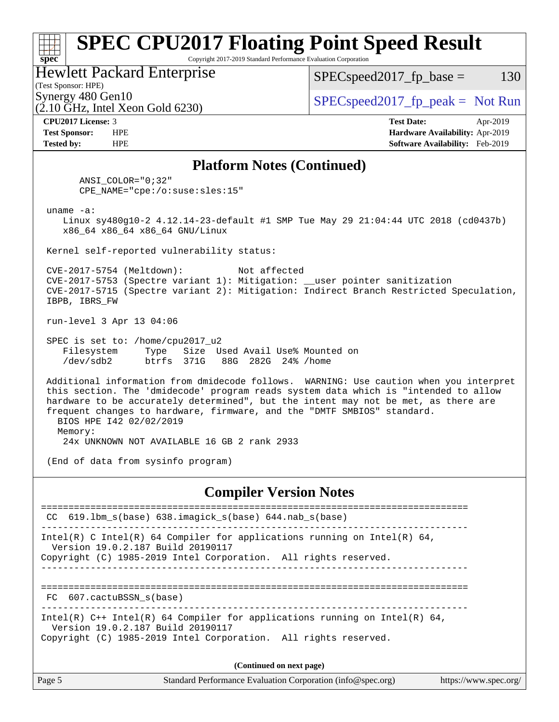### **[spec](http://www.spec.org/) [SPEC CPU2017 Floating Point Speed Result](http://www.spec.org/auto/cpu2017/Docs/result-fields.html#SPECCPU2017FloatingPointSpeedResult)** Copyright 2017-2019 Standard Performance Evaluation Corporation (Test Sponsor: HPE) Hewlett Packard Enterprise  $(2.10 \text{ GHz}, \text{Intel Xeon}$  Gold 6230) Synergy 480 Gen10  $S^{per}$  [SPECspeed2017\\_fp\\_peak =](http://www.spec.org/auto/cpu2017/Docs/result-fields.html#SPECspeed2017fppeak) Not Run  $SPEC speed2017_fp\_base = 130$ **[CPU2017 License:](http://www.spec.org/auto/cpu2017/Docs/result-fields.html#CPU2017License)** 3 **[Test Date:](http://www.spec.org/auto/cpu2017/Docs/result-fields.html#TestDate)** Apr-2019 **[Test Sponsor:](http://www.spec.org/auto/cpu2017/Docs/result-fields.html#TestSponsor)** HPE **[Hardware Availability:](http://www.spec.org/auto/cpu2017/Docs/result-fields.html#HardwareAvailability)** Apr-2019 **[Tested by:](http://www.spec.org/auto/cpu2017/Docs/result-fields.html#Testedby)** HPE **[Software Availability:](http://www.spec.org/auto/cpu2017/Docs/result-fields.html#SoftwareAvailability)** Feb-2019 **[Platform Notes \(Continued\)](http://www.spec.org/auto/cpu2017/Docs/result-fields.html#PlatformNotes)** ANSI\_COLOR="0;32" CPE\_NAME="cpe:/o:suse:sles:15" uname -a: Linux sy480g10-2 4.12.14-23-default #1 SMP Tue May 29 21:04:44 UTC 2018 (cd0437b) x86\_64 x86\_64 x86\_64 GNU/Linux Kernel self-reported vulnerability status: CVE-2017-5754 (Meltdown): Not affected CVE-2017-5753 (Spectre variant 1): Mitigation: \_\_user pointer sanitization CVE-2017-5715 (Spectre variant 2): Mitigation: Indirect Branch Restricted Speculation, IBPB, IBRS\_FW run-level 3 Apr 13 04:06 SPEC is set to: /home/cpu2017\_u2 Filesystem Type Size Used Avail Use% Mounted on /dev/sdb2 btrfs 371G 88G 282G 24% /home Additional information from dmidecode follows. WARNING: Use caution when you interpret this section. The 'dmidecode' program reads system data which is "intended to allow hardware to be accurately determined", but the intent may not be met, as there are frequent changes to hardware, firmware, and the "DMTF SMBIOS" standard. BIOS HPE I42 02/02/2019 Memory: 24x UNKNOWN NOT AVAILABLE 16 GB 2 rank 2933 (End of data from sysinfo program) **[Compiler Version Notes](http://www.spec.org/auto/cpu2017/Docs/result-fields.html#CompilerVersionNotes)** ============================================================================== CC 619.lbm\_s(base) 638.imagick\_s(base) 644.nab\_s(base) ------------------------------------------------------------------------------ Intel(R) C Intel(R) 64 Compiler for applications running on Intel(R)  $64$ , Version 19.0.2.187 Build 20190117 Copyright (C) 1985-2019 Intel Corporation. All rights reserved. ------------------------------------------------------------------------------ ============================================================================== FC 607.cactuBSSN\_s(base) ------------------------------------------------------------------------------ Intel(R) C++ Intel(R) 64 Compiler for applications running on Intel(R) 64, Version 19.0.2.187 Build 20190117 Copyright (C) 1985-2019 Intel Corporation. All rights reserved. **(Continued on next page)**

|--|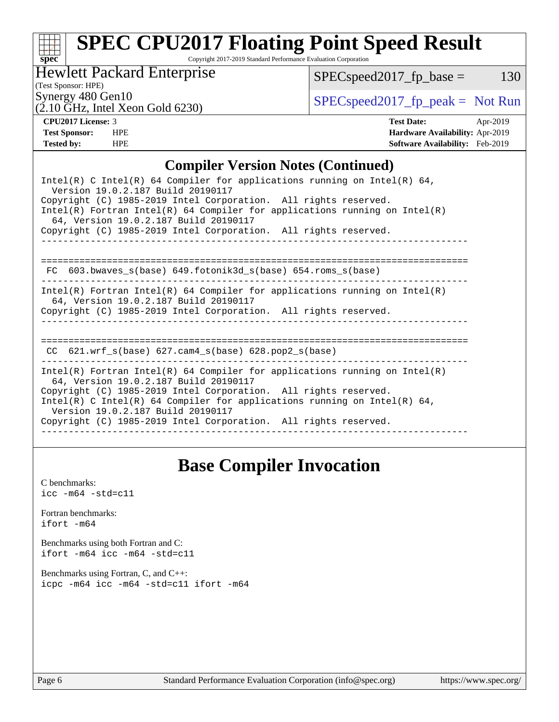# **[spec](http://www.spec.org/)**

# **[SPEC CPU2017 Floating Point Speed Result](http://www.spec.org/auto/cpu2017/Docs/result-fields.html#SPECCPU2017FloatingPointSpeedResult)**

Copyright 2017-2019 Standard Performance Evaluation Corporation

Hewlett Packard Enterprise

 $SPEC speed2017_fp\_base = 130$ 

(Test Sponsor: HPE)

Synergy 480 Gen10<br>  $SPEC speed2017<sub>rfp</sub> peak = Not Run$ 

# $(2.10 \text{ GHz}, \text{Intel Xeon Gold } 6230)$

**[CPU2017 License:](http://www.spec.org/auto/cpu2017/Docs/result-fields.html#CPU2017License)** 3 **[Test Date:](http://www.spec.org/auto/cpu2017/Docs/result-fields.html#TestDate)** Apr-2019 **[Test Sponsor:](http://www.spec.org/auto/cpu2017/Docs/result-fields.html#TestSponsor)** HPE **[Hardware Availability:](http://www.spec.org/auto/cpu2017/Docs/result-fields.html#HardwareAvailability)** Apr-2019 **[Tested by:](http://www.spec.org/auto/cpu2017/Docs/result-fields.html#Testedby)** HPE **[Software Availability:](http://www.spec.org/auto/cpu2017/Docs/result-fields.html#SoftwareAvailability)** Feb-2019

### **[Compiler Version Notes \(Continued\)](http://www.spec.org/auto/cpu2017/Docs/result-fields.html#CompilerVersionNotes)**

# **[Base Compiler Invocation](http://www.spec.org/auto/cpu2017/Docs/result-fields.html#BaseCompilerInvocation)**

[C benchmarks](http://www.spec.org/auto/cpu2017/Docs/result-fields.html#Cbenchmarks):  $\text{icc}$  -m64 -std=c11 [Fortran benchmarks](http://www.spec.org/auto/cpu2017/Docs/result-fields.html#Fortranbenchmarks): [ifort -m64](http://www.spec.org/cpu2017/results/res2019q2/cpu2017-20190429-13082.flags.html#user_FCbase_intel_ifort_64bit_24f2bb282fbaeffd6157abe4f878425411749daecae9a33200eee2bee2fe76f3b89351d69a8130dd5949958ce389cf37ff59a95e7a40d588e8d3a57e0c3fd751) [Benchmarks using both Fortran and C](http://www.spec.org/auto/cpu2017/Docs/result-fields.html#BenchmarksusingbothFortranandC): [ifort -m64](http://www.spec.org/cpu2017/results/res2019q2/cpu2017-20190429-13082.flags.html#user_CC_FCbase_intel_ifort_64bit_24f2bb282fbaeffd6157abe4f878425411749daecae9a33200eee2bee2fe76f3b89351d69a8130dd5949958ce389cf37ff59a95e7a40d588e8d3a57e0c3fd751) [icc -m64 -std=c11](http://www.spec.org/cpu2017/results/res2019q2/cpu2017-20190429-13082.flags.html#user_CC_FCbase_intel_icc_64bit_c11_33ee0cdaae7deeeab2a9725423ba97205ce30f63b9926c2519791662299b76a0318f32ddfffdc46587804de3178b4f9328c46fa7c2b0cd779d7a61945c91cd35) [Benchmarks using Fortran, C, and C++:](http://www.spec.org/auto/cpu2017/Docs/result-fields.html#BenchmarksusingFortranCandCXX) [icpc -m64](http://www.spec.org/cpu2017/results/res2019q2/cpu2017-20190429-13082.flags.html#user_CC_CXX_FCbase_intel_icpc_64bit_4ecb2543ae3f1412ef961e0650ca070fec7b7afdcd6ed48761b84423119d1bf6bdf5cad15b44d48e7256388bc77273b966e5eb805aefd121eb22e9299b2ec9d9) [icc -m64 -std=c11](http://www.spec.org/cpu2017/results/res2019q2/cpu2017-20190429-13082.flags.html#user_CC_CXX_FCbase_intel_icc_64bit_c11_33ee0cdaae7deeeab2a9725423ba97205ce30f63b9926c2519791662299b76a0318f32ddfffdc46587804de3178b4f9328c46fa7c2b0cd779d7a61945c91cd35) [ifort -m64](http://www.spec.org/cpu2017/results/res2019q2/cpu2017-20190429-13082.flags.html#user_CC_CXX_FCbase_intel_ifort_64bit_24f2bb282fbaeffd6157abe4f878425411749daecae9a33200eee2bee2fe76f3b89351d69a8130dd5949958ce389cf37ff59a95e7a40d588e8d3a57e0c3fd751)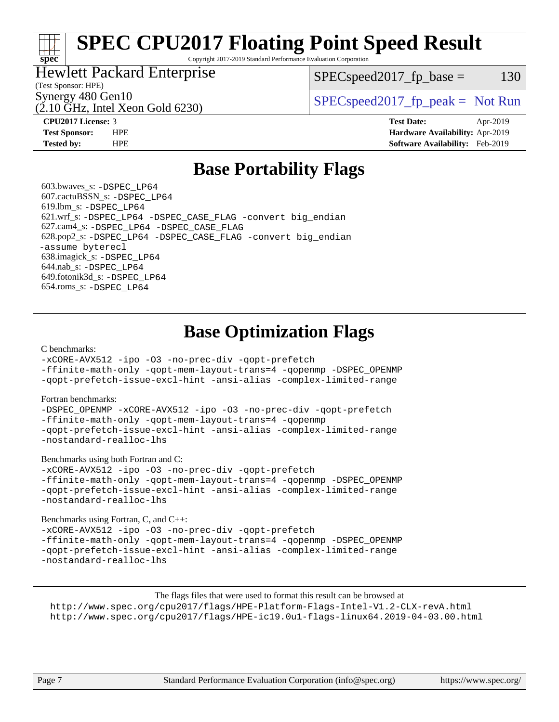# **[SPEC CPU2017 Floating Point Speed Result](http://www.spec.org/auto/cpu2017/Docs/result-fields.html#SPECCPU2017FloatingPointSpeedResult)**

Copyright 2017-2019 Standard Performance Evaluation Corporation

### Hewlett Packard Enterprise

 $SPEC speed2017_fp\_base = 130$ 

(Test Sponsor: HPE)

(2.10 GHz, Intel Xeon Gold 6230)

Synergy 480 Gen10  $S^{per}$  [SPECspeed2017\\_fp\\_peak =](http://www.spec.org/auto/cpu2017/Docs/result-fields.html#SPECspeed2017fppeak) Not Run

**[spec](http://www.spec.org/)**

**[CPU2017 License:](http://www.spec.org/auto/cpu2017/Docs/result-fields.html#CPU2017License)** 3 **[Test Date:](http://www.spec.org/auto/cpu2017/Docs/result-fields.html#TestDate)** Apr-2019 **[Test Sponsor:](http://www.spec.org/auto/cpu2017/Docs/result-fields.html#TestSponsor)** HPE **[Hardware Availability:](http://www.spec.org/auto/cpu2017/Docs/result-fields.html#HardwareAvailability)** Apr-2019 **[Tested by:](http://www.spec.org/auto/cpu2017/Docs/result-fields.html#Testedby)** HPE **[Software Availability:](http://www.spec.org/auto/cpu2017/Docs/result-fields.html#SoftwareAvailability)** Feb-2019

# **[Base Portability Flags](http://www.spec.org/auto/cpu2017/Docs/result-fields.html#BasePortabilityFlags)**

 603.bwaves\_s: [-DSPEC\\_LP64](http://www.spec.org/cpu2017/results/res2019q2/cpu2017-20190429-13082.flags.html#suite_basePORTABILITY603_bwaves_s_DSPEC_LP64) 607.cactuBSSN\_s: [-DSPEC\\_LP64](http://www.spec.org/cpu2017/results/res2019q2/cpu2017-20190429-13082.flags.html#suite_basePORTABILITY607_cactuBSSN_s_DSPEC_LP64) 619.lbm\_s: [-DSPEC\\_LP64](http://www.spec.org/cpu2017/results/res2019q2/cpu2017-20190429-13082.flags.html#suite_basePORTABILITY619_lbm_s_DSPEC_LP64) 621.wrf\_s: [-DSPEC\\_LP64](http://www.spec.org/cpu2017/results/res2019q2/cpu2017-20190429-13082.flags.html#suite_basePORTABILITY621_wrf_s_DSPEC_LP64) [-DSPEC\\_CASE\\_FLAG](http://www.spec.org/cpu2017/results/res2019q2/cpu2017-20190429-13082.flags.html#b621.wrf_s_baseCPORTABILITY_DSPEC_CASE_FLAG) [-convert big\\_endian](http://www.spec.org/cpu2017/results/res2019q2/cpu2017-20190429-13082.flags.html#user_baseFPORTABILITY621_wrf_s_convert_big_endian_c3194028bc08c63ac5d04de18c48ce6d347e4e562e8892b8bdbdc0214820426deb8554edfa529a3fb25a586e65a3d812c835984020483e7e73212c4d31a38223) 627.cam4\_s: [-DSPEC\\_LP64](http://www.spec.org/cpu2017/results/res2019q2/cpu2017-20190429-13082.flags.html#suite_basePORTABILITY627_cam4_s_DSPEC_LP64) [-DSPEC\\_CASE\\_FLAG](http://www.spec.org/cpu2017/results/res2019q2/cpu2017-20190429-13082.flags.html#b627.cam4_s_baseCPORTABILITY_DSPEC_CASE_FLAG) 628.pop2\_s: [-DSPEC\\_LP64](http://www.spec.org/cpu2017/results/res2019q2/cpu2017-20190429-13082.flags.html#suite_basePORTABILITY628_pop2_s_DSPEC_LP64) [-DSPEC\\_CASE\\_FLAG](http://www.spec.org/cpu2017/results/res2019q2/cpu2017-20190429-13082.flags.html#b628.pop2_s_baseCPORTABILITY_DSPEC_CASE_FLAG) [-convert big\\_endian](http://www.spec.org/cpu2017/results/res2019q2/cpu2017-20190429-13082.flags.html#user_baseFPORTABILITY628_pop2_s_convert_big_endian_c3194028bc08c63ac5d04de18c48ce6d347e4e562e8892b8bdbdc0214820426deb8554edfa529a3fb25a586e65a3d812c835984020483e7e73212c4d31a38223) [-assume byterecl](http://www.spec.org/cpu2017/results/res2019q2/cpu2017-20190429-13082.flags.html#user_baseFPORTABILITY628_pop2_s_assume_byterecl_7e47d18b9513cf18525430bbf0f2177aa9bf368bc7a059c09b2c06a34b53bd3447c950d3f8d6c70e3faf3a05c8557d66a5798b567902e8849adc142926523472) 638.imagick\_s: [-DSPEC\\_LP64](http://www.spec.org/cpu2017/results/res2019q2/cpu2017-20190429-13082.flags.html#suite_basePORTABILITY638_imagick_s_DSPEC_LP64) 644.nab\_s: [-DSPEC\\_LP64](http://www.spec.org/cpu2017/results/res2019q2/cpu2017-20190429-13082.flags.html#suite_basePORTABILITY644_nab_s_DSPEC_LP64) 649.fotonik3d\_s: [-DSPEC\\_LP64](http://www.spec.org/cpu2017/results/res2019q2/cpu2017-20190429-13082.flags.html#suite_basePORTABILITY649_fotonik3d_s_DSPEC_LP64) 654.roms\_s: [-DSPEC\\_LP64](http://www.spec.org/cpu2017/results/res2019q2/cpu2017-20190429-13082.flags.html#suite_basePORTABILITY654_roms_s_DSPEC_LP64)

# **[Base Optimization Flags](http://www.spec.org/auto/cpu2017/Docs/result-fields.html#BaseOptimizationFlags)**

### [C benchmarks](http://www.spec.org/auto/cpu2017/Docs/result-fields.html#Cbenchmarks):

[-xCORE-AVX512](http://www.spec.org/cpu2017/results/res2019q2/cpu2017-20190429-13082.flags.html#user_CCbase_f-xCORE-AVX512) [-ipo](http://www.spec.org/cpu2017/results/res2019q2/cpu2017-20190429-13082.flags.html#user_CCbase_f-ipo) [-O3](http://www.spec.org/cpu2017/results/res2019q2/cpu2017-20190429-13082.flags.html#user_CCbase_f-O3) [-no-prec-div](http://www.spec.org/cpu2017/results/res2019q2/cpu2017-20190429-13082.flags.html#user_CCbase_f-no-prec-div) [-qopt-prefetch](http://www.spec.org/cpu2017/results/res2019q2/cpu2017-20190429-13082.flags.html#user_CCbase_f-qopt-prefetch)

[-ffinite-math-only](http://www.spec.org/cpu2017/results/res2019q2/cpu2017-20190429-13082.flags.html#user_CCbase_f_finite_math_only_cb91587bd2077682c4b38af759c288ed7c732db004271a9512da14a4f8007909a5f1427ecbf1a0fb78ff2a814402c6114ac565ca162485bbcae155b5e4258871) [-qopt-mem-layout-trans=4](http://www.spec.org/cpu2017/results/res2019q2/cpu2017-20190429-13082.flags.html#user_CCbase_f-qopt-mem-layout-trans_fa39e755916c150a61361b7846f310bcdf6f04e385ef281cadf3647acec3f0ae266d1a1d22d972a7087a248fd4e6ca390a3634700869573d231a252c784941a8) [-qopenmp](http://www.spec.org/cpu2017/results/res2019q2/cpu2017-20190429-13082.flags.html#user_CCbase_qopenmp_16be0c44f24f464004c6784a7acb94aca937f053568ce72f94b139a11c7c168634a55f6653758ddd83bcf7b8463e8028bb0b48b77bcddc6b78d5d95bb1df2967) [-DSPEC\\_OPENMP](http://www.spec.org/cpu2017/results/res2019q2/cpu2017-20190429-13082.flags.html#suite_CCbase_DSPEC_OPENMP) [-qopt-prefetch-issue-excl-hint](http://www.spec.org/cpu2017/results/res2019q2/cpu2017-20190429-13082.flags.html#user_CCbase_f-qopt-prefetch-issue-excl-hint) [-ansi-alias](http://www.spec.org/cpu2017/results/res2019q2/cpu2017-20190429-13082.flags.html#user_CCbase_f-ansi-alias) [-complex-limited-range](http://www.spec.org/cpu2017/results/res2019q2/cpu2017-20190429-13082.flags.html#user_CCbase_f-complex-limited-range)

### [Fortran benchmarks](http://www.spec.org/auto/cpu2017/Docs/result-fields.html#Fortranbenchmarks):

[-DSPEC\\_OPENMP](http://www.spec.org/cpu2017/results/res2019q2/cpu2017-20190429-13082.flags.html#suite_FCbase_DSPEC_OPENMP) [-xCORE-AVX512](http://www.spec.org/cpu2017/results/res2019q2/cpu2017-20190429-13082.flags.html#user_FCbase_f-xCORE-AVX512) [-ipo](http://www.spec.org/cpu2017/results/res2019q2/cpu2017-20190429-13082.flags.html#user_FCbase_f-ipo) [-O3](http://www.spec.org/cpu2017/results/res2019q2/cpu2017-20190429-13082.flags.html#user_FCbase_f-O3) [-no-prec-div](http://www.spec.org/cpu2017/results/res2019q2/cpu2017-20190429-13082.flags.html#user_FCbase_f-no-prec-div) [-qopt-prefetch](http://www.spec.org/cpu2017/results/res2019q2/cpu2017-20190429-13082.flags.html#user_FCbase_f-qopt-prefetch) [-ffinite-math-only](http://www.spec.org/cpu2017/results/res2019q2/cpu2017-20190429-13082.flags.html#user_FCbase_f_finite_math_only_cb91587bd2077682c4b38af759c288ed7c732db004271a9512da14a4f8007909a5f1427ecbf1a0fb78ff2a814402c6114ac565ca162485bbcae155b5e4258871) [-qopt-mem-layout-trans=4](http://www.spec.org/cpu2017/results/res2019q2/cpu2017-20190429-13082.flags.html#user_FCbase_f-qopt-mem-layout-trans_fa39e755916c150a61361b7846f310bcdf6f04e385ef281cadf3647acec3f0ae266d1a1d22d972a7087a248fd4e6ca390a3634700869573d231a252c784941a8) [-qopenmp](http://www.spec.org/cpu2017/results/res2019q2/cpu2017-20190429-13082.flags.html#user_FCbase_qopenmp_16be0c44f24f464004c6784a7acb94aca937f053568ce72f94b139a11c7c168634a55f6653758ddd83bcf7b8463e8028bb0b48b77bcddc6b78d5d95bb1df2967) [-qopt-prefetch-issue-excl-hint](http://www.spec.org/cpu2017/results/res2019q2/cpu2017-20190429-13082.flags.html#user_FCbase_f-qopt-prefetch-issue-excl-hint) [-ansi-alias](http://www.spec.org/cpu2017/results/res2019q2/cpu2017-20190429-13082.flags.html#user_FCbase_f-ansi-alias) [-complex-limited-range](http://www.spec.org/cpu2017/results/res2019q2/cpu2017-20190429-13082.flags.html#user_FCbase_f-complex-limited-range) [-nostandard-realloc-lhs](http://www.spec.org/cpu2017/results/res2019q2/cpu2017-20190429-13082.flags.html#user_FCbase_f_2003_std_realloc_82b4557e90729c0f113870c07e44d33d6f5a304b4f63d4c15d2d0f1fab99f5daaed73bdb9275d9ae411527f28b936061aa8b9c8f2d63842963b95c9dd6426b8a)

[Benchmarks using both Fortran and C](http://www.spec.org/auto/cpu2017/Docs/result-fields.html#BenchmarksusingbothFortranandC):

[-xCORE-AVX512](http://www.spec.org/cpu2017/results/res2019q2/cpu2017-20190429-13082.flags.html#user_CC_FCbase_f-xCORE-AVX512) [-ipo](http://www.spec.org/cpu2017/results/res2019q2/cpu2017-20190429-13082.flags.html#user_CC_FCbase_f-ipo) [-O3](http://www.spec.org/cpu2017/results/res2019q2/cpu2017-20190429-13082.flags.html#user_CC_FCbase_f-O3) [-no-prec-div](http://www.spec.org/cpu2017/results/res2019q2/cpu2017-20190429-13082.flags.html#user_CC_FCbase_f-no-prec-div) [-qopt-prefetch](http://www.spec.org/cpu2017/results/res2019q2/cpu2017-20190429-13082.flags.html#user_CC_FCbase_f-qopt-prefetch) [-ffinite-math-only](http://www.spec.org/cpu2017/results/res2019q2/cpu2017-20190429-13082.flags.html#user_CC_FCbase_f_finite_math_only_cb91587bd2077682c4b38af759c288ed7c732db004271a9512da14a4f8007909a5f1427ecbf1a0fb78ff2a814402c6114ac565ca162485bbcae155b5e4258871) [-qopt-mem-layout-trans=4](http://www.spec.org/cpu2017/results/res2019q2/cpu2017-20190429-13082.flags.html#user_CC_FCbase_f-qopt-mem-layout-trans_fa39e755916c150a61361b7846f310bcdf6f04e385ef281cadf3647acec3f0ae266d1a1d22d972a7087a248fd4e6ca390a3634700869573d231a252c784941a8) [-qopenmp](http://www.spec.org/cpu2017/results/res2019q2/cpu2017-20190429-13082.flags.html#user_CC_FCbase_qopenmp_16be0c44f24f464004c6784a7acb94aca937f053568ce72f94b139a11c7c168634a55f6653758ddd83bcf7b8463e8028bb0b48b77bcddc6b78d5d95bb1df2967) [-DSPEC\\_OPENMP](http://www.spec.org/cpu2017/results/res2019q2/cpu2017-20190429-13082.flags.html#suite_CC_FCbase_DSPEC_OPENMP) [-qopt-prefetch-issue-excl-hint](http://www.spec.org/cpu2017/results/res2019q2/cpu2017-20190429-13082.flags.html#user_CC_FCbase_f-qopt-prefetch-issue-excl-hint) [-ansi-alias](http://www.spec.org/cpu2017/results/res2019q2/cpu2017-20190429-13082.flags.html#user_CC_FCbase_f-ansi-alias) [-complex-limited-range](http://www.spec.org/cpu2017/results/res2019q2/cpu2017-20190429-13082.flags.html#user_CC_FCbase_f-complex-limited-range) [-nostandard-realloc-lhs](http://www.spec.org/cpu2017/results/res2019q2/cpu2017-20190429-13082.flags.html#user_CC_FCbase_f_2003_std_realloc_82b4557e90729c0f113870c07e44d33d6f5a304b4f63d4c15d2d0f1fab99f5daaed73bdb9275d9ae411527f28b936061aa8b9c8f2d63842963b95c9dd6426b8a)

[Benchmarks using Fortran, C, and C++:](http://www.spec.org/auto/cpu2017/Docs/result-fields.html#BenchmarksusingFortranCandCXX)

[-xCORE-AVX512](http://www.spec.org/cpu2017/results/res2019q2/cpu2017-20190429-13082.flags.html#user_CC_CXX_FCbase_f-xCORE-AVX512) [-ipo](http://www.spec.org/cpu2017/results/res2019q2/cpu2017-20190429-13082.flags.html#user_CC_CXX_FCbase_f-ipo) [-O3](http://www.spec.org/cpu2017/results/res2019q2/cpu2017-20190429-13082.flags.html#user_CC_CXX_FCbase_f-O3) [-no-prec-div](http://www.spec.org/cpu2017/results/res2019q2/cpu2017-20190429-13082.flags.html#user_CC_CXX_FCbase_f-no-prec-div) [-qopt-prefetch](http://www.spec.org/cpu2017/results/res2019q2/cpu2017-20190429-13082.flags.html#user_CC_CXX_FCbase_f-qopt-prefetch) [-ffinite-math-only](http://www.spec.org/cpu2017/results/res2019q2/cpu2017-20190429-13082.flags.html#user_CC_CXX_FCbase_f_finite_math_only_cb91587bd2077682c4b38af759c288ed7c732db004271a9512da14a4f8007909a5f1427ecbf1a0fb78ff2a814402c6114ac565ca162485bbcae155b5e4258871) [-qopt-mem-layout-trans=4](http://www.spec.org/cpu2017/results/res2019q2/cpu2017-20190429-13082.flags.html#user_CC_CXX_FCbase_f-qopt-mem-layout-trans_fa39e755916c150a61361b7846f310bcdf6f04e385ef281cadf3647acec3f0ae266d1a1d22d972a7087a248fd4e6ca390a3634700869573d231a252c784941a8) [-qopenmp](http://www.spec.org/cpu2017/results/res2019q2/cpu2017-20190429-13082.flags.html#user_CC_CXX_FCbase_qopenmp_16be0c44f24f464004c6784a7acb94aca937f053568ce72f94b139a11c7c168634a55f6653758ddd83bcf7b8463e8028bb0b48b77bcddc6b78d5d95bb1df2967) [-DSPEC\\_OPENMP](http://www.spec.org/cpu2017/results/res2019q2/cpu2017-20190429-13082.flags.html#suite_CC_CXX_FCbase_DSPEC_OPENMP) [-qopt-prefetch-issue-excl-hint](http://www.spec.org/cpu2017/results/res2019q2/cpu2017-20190429-13082.flags.html#user_CC_CXX_FCbase_f-qopt-prefetch-issue-excl-hint) [-ansi-alias](http://www.spec.org/cpu2017/results/res2019q2/cpu2017-20190429-13082.flags.html#user_CC_CXX_FCbase_f-ansi-alias) [-complex-limited-range](http://www.spec.org/cpu2017/results/res2019q2/cpu2017-20190429-13082.flags.html#user_CC_CXX_FCbase_f-complex-limited-range) [-nostandard-realloc-lhs](http://www.spec.org/cpu2017/results/res2019q2/cpu2017-20190429-13082.flags.html#user_CC_CXX_FCbase_f_2003_std_realloc_82b4557e90729c0f113870c07e44d33d6f5a304b4f63d4c15d2d0f1fab99f5daaed73bdb9275d9ae411527f28b936061aa8b9c8f2d63842963b95c9dd6426b8a)

The flags files that were used to format this result can be browsed at <http://www.spec.org/cpu2017/flags/HPE-Platform-Flags-Intel-V1.2-CLX-revA.html> <http://www.spec.org/cpu2017/flags/HPE-ic19.0u1-flags-linux64.2019-04-03.00.html>